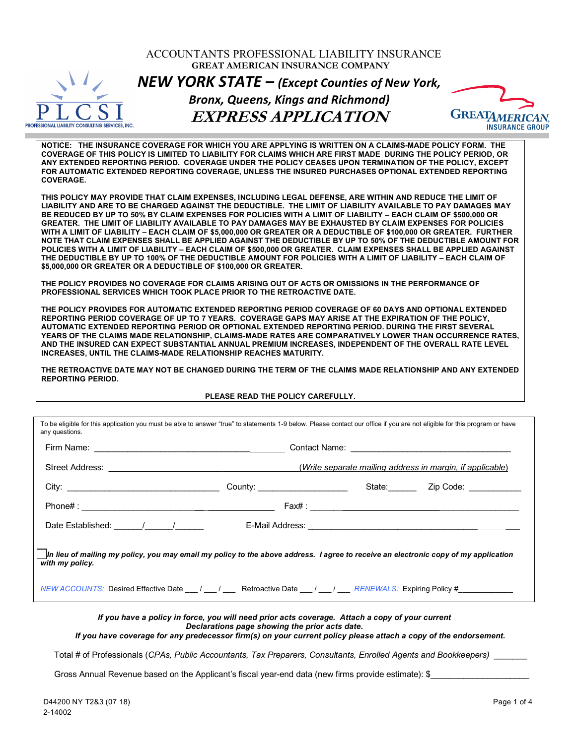|                                                  | ACCOUNTANTS PROFESSIONAL LIABILITY INSURANCE<br><b>GREAT AMERICAN INSURANCE COMPANY</b>                                                                                                                                                                                                                                                                                                                                                                                                                                                                                                                                                                                                                                                                                                                                                                                                                                                                                                                                                                                                                                                                                                                                                                                                                                                                                                                                                                                                                                                                                                                                                                                                                                          |                                                           |
|--------------------------------------------------|----------------------------------------------------------------------------------------------------------------------------------------------------------------------------------------------------------------------------------------------------------------------------------------------------------------------------------------------------------------------------------------------------------------------------------------------------------------------------------------------------------------------------------------------------------------------------------------------------------------------------------------------------------------------------------------------------------------------------------------------------------------------------------------------------------------------------------------------------------------------------------------------------------------------------------------------------------------------------------------------------------------------------------------------------------------------------------------------------------------------------------------------------------------------------------------------------------------------------------------------------------------------------------------------------------------------------------------------------------------------------------------------------------------------------------------------------------------------------------------------------------------------------------------------------------------------------------------------------------------------------------------------------------------------------------------------------------------------------------|-----------------------------------------------------------|
|                                                  | <b>NEW YORK STATE - (Except Counties of New York,</b>                                                                                                                                                                                                                                                                                                                                                                                                                                                                                                                                                                                                                                                                                                                                                                                                                                                                                                                                                                                                                                                                                                                                                                                                                                                                                                                                                                                                                                                                                                                                                                                                                                                                            |                                                           |
|                                                  | <b>Bronx, Queens, Kings and Richmond)</b>                                                                                                                                                                                                                                                                                                                                                                                                                                                                                                                                                                                                                                                                                                                                                                                                                                                                                                                                                                                                                                                                                                                                                                                                                                                                                                                                                                                                                                                                                                                                                                                                                                                                                        |                                                           |
| PROFESSIONAL LIABILITY CONSULTING SERVICES, INC. | <b>EXPRESS APPLICATION</b>                                                                                                                                                                                                                                                                                                                                                                                                                                                                                                                                                                                                                                                                                                                                                                                                                                                                                                                                                                                                                                                                                                                                                                                                                                                                                                                                                                                                                                                                                                                                                                                                                                                                                                       | $G$ REATA $\lambda$<br><b>INSURANCE GROUP</b>             |
| <b>COVERAGE.</b>                                 | NOTICE: THE INSURANCE COVERAGE FOR WHICH YOU ARE APPLYING IS WRITTEN ON A CLAIMS-MADE POLICY FORM. THE<br>COVERAGE OF THIS POLICY IS LIMITED TO LIABILITY FOR CLAIMS WHICH ARE FIRST MADE DURING THE POLICY PERIOD, OR<br>ANY EXTENDED REPORTING PERIOD. COVERAGE UNDER THE POLICY CEASES UPON TERMINATION OF THE POLICY, EXCEPT<br>FOR AUTOMATIC EXTENDED REPORTING COVERAGE, UNLESS THE INSURED PURCHASES OPTIONAL EXTENDED REPORTING                                                                                                                                                                                                                                                                                                                                                                                                                                                                                                                                                                                                                                                                                                                                                                                                                                                                                                                                                                                                                                                                                                                                                                                                                                                                                          |                                                           |
|                                                  | THIS POLICY MAY PROVIDE THAT CLAIM EXPENSES, INCLUDING LEGAL DEFENSE, ARE WITHIN AND REDUCE THE LIMIT OF<br>LIABILITY AND ARE TO BE CHARGED AGAINST THE DEDUCTIBLE. THE LIMIT OF LIABILITY AVAILABLE TO PAY DAMAGES MAY<br>BE REDUCED BY UP TO 50% BY CLAIM EXPENSES FOR POLICIES WITH A LIMIT OF LIABILITY - EACH CLAIM OF \$500,000 OR<br>GREATER. THE LIMIT OF LIABILITY AVAILABLE TO PAY DAMAGES MAY BE EXHAUSTED BY CLAIM EXPENSES FOR POLICIES<br>WITH A LIMIT OF LIABILITY – EACH CLAIM OF \$5.000.000 OR GREATER OR A DEDUCTIBLE OF \$100.000 OR GREATER. FURTHER<br>NOTE THAT CLAIM EXPENSES SHALL BE APPLIED AGAINST THE DEDUCTIBLE BY UP TO 50% OF THE DEDUCTIBLE AMOUNT FOR<br>POLICIES WITH A LIMIT OF LIABILITY - EACH CLAIM OF \$500,000 OR GREATER. CLAIM EXPENSES SHALL BE APPLIED AGAINST<br>THE DEDUCTIBLE BY UP TO 100% OF THE DEDUCTIBLE AMOUNT FOR POLICIES WITH A LIMIT OF LIABILITY – EACH CLAIM OF<br>\$5,000,000 OR GREATER OR A DEDUCTIBLE OF \$100,000 OR GREATER.<br>THE POLICY PROVIDES NO COVERAGE FOR CLAIMS ARISING OUT OF ACTS OR OMISSIONS IN THE PERFORMANCE OF<br><b>PROFESSIONAL SERVICES WHICH TOOK PLACE PRIOR TO THE RETROACTIVE DATE.</b><br>THE POLICY PROVIDES FOR AUTOMATIC EXTENDED REPORTING PERIOD COVERAGE OF 60 DAYS AND OPTIONAL EXTENDED<br>REPORTING PERIOD COVERAGE OF UP TO 7 YEARS. COVERAGE GAPS MAY ARISE AT THE EXPIRATION OF THE POLICY,<br>AUTOMATIC EXTENDED REPORTING PERIOD OR OPTIONAL EXTENDED REPORTING PERIOD. DURING THE FIRST SEVERAL<br>YEARS OF THE CLAIMS MADE RELATIONSHIP, CLAIMS-MADE RATES ARE COMPARATIVELY LOWER THAN OCCURRENCE RATES,<br>AND THE INSURED CAN EXPECT SUBSTANTIAL ANNUAL PREMIUM INCREASES, INDEPENDENT OF THE OVERALL RATE LEVEL |                                                           |
| <b>REPORTING PERIOD.</b>                         |                                                                                                                                                                                                                                                                                                                                                                                                                                                                                                                                                                                                                                                                                                                                                                                                                                                                                                                                                                                                                                                                                                                                                                                                                                                                                                                                                                                                                                                                                                                                                                                                                                                                                                                                  |                                                           |
|                                                  | PLEASE READ THE POLICY CAREFULLY.                                                                                                                                                                                                                                                                                                                                                                                                                                                                                                                                                                                                                                                                                                                                                                                                                                                                                                                                                                                                                                                                                                                                                                                                                                                                                                                                                                                                                                                                                                                                                                                                                                                                                                |                                                           |
|                                                  | To be eligible for this application you must be able to answer "true" to statements 1-9 below. Please contact our office if you are not eligible for this program or have                                                                                                                                                                                                                                                                                                                                                                                                                                                                                                                                                                                                                                                                                                                                                                                                                                                                                                                                                                                                                                                                                                                                                                                                                                                                                                                                                                                                                                                                                                                                                        |                                                           |
| Firm Name:                                       | <b>Contact Name:</b>                                                                                                                                                                                                                                                                                                                                                                                                                                                                                                                                                                                                                                                                                                                                                                                                                                                                                                                                                                                                                                                                                                                                                                                                                                                                                                                                                                                                                                                                                                                                                                                                                                                                                                             |                                                           |
| <b>Street Address:</b>                           |                                                                                                                                                                                                                                                                                                                                                                                                                                                                                                                                                                                                                                                                                                                                                                                                                                                                                                                                                                                                                                                                                                                                                                                                                                                                                                                                                                                                                                                                                                                                                                                                                                                                                                                                  | (Write separate mailing address in margin, if applicable) |
|                                                  |                                                                                                                                                                                                                                                                                                                                                                                                                                                                                                                                                                                                                                                                                                                                                                                                                                                                                                                                                                                                                                                                                                                                                                                                                                                                                                                                                                                                                                                                                                                                                                                                                                                                                                                                  |                                                           |
|                                                  |                                                                                                                                                                                                                                                                                                                                                                                                                                                                                                                                                                                                                                                                                                                                                                                                                                                                                                                                                                                                                                                                                                                                                                                                                                                                                                                                                                                                                                                                                                                                                                                                                                                                                                                                  |                                                           |
|                                                  |                                                                                                                                                                                                                                                                                                                                                                                                                                                                                                                                                                                                                                                                                                                                                                                                                                                                                                                                                                                                                                                                                                                                                                                                                                                                                                                                                                                                                                                                                                                                                                                                                                                                                                                                  |                                                           |
| any questions.<br>with my policy.                | In lieu of mailing my policy, you may email my policy to the above address. I agree to receive an electronic copy of my application<br>NEW ACCOUNTS: Desired Effective Date __ / __ / __ Retroactive Date __ / __ / __ RENEWALS: Expiring Policy #__                                                                                                                                                                                                                                                                                                                                                                                                                                                                                                                                                                                                                                                                                                                                                                                                                                                                                                                                                                                                                                                                                                                                                                                                                                                                                                                                                                                                                                                                             |                                                           |

Gross Annual Revenue based on the Applicant's fiscal year-end data (new firms provide estimate): \$\_\_\_\_\_\_\_\_\_\_\_\_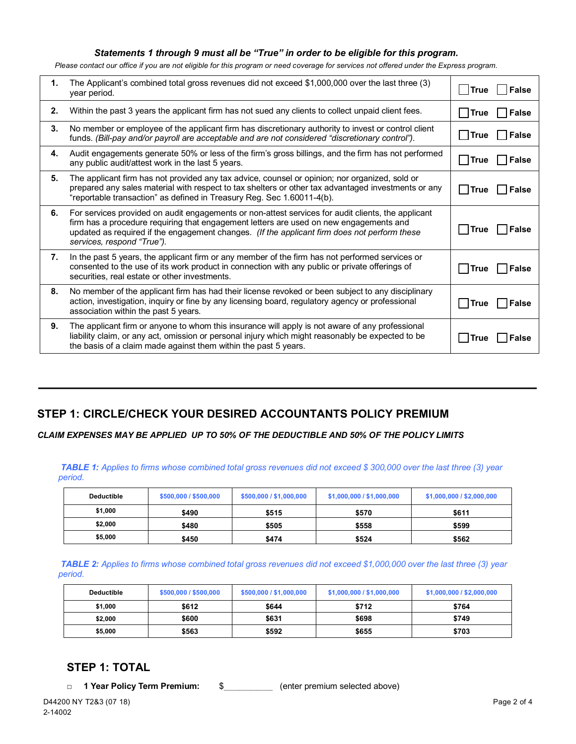#### *Statements 1 through 9 must all be "True" in order to be eligible for this program.*

*Please contact our office if you are not eligible for this program or need coverage for services not offered under the Express program.*

| 1. | The Applicant's combined total gross revenues did not exceed \$1,000,000 over the last three (3)<br>year period.                                                                                                                                                                                                           | True           | <b>False</b> |
|----|----------------------------------------------------------------------------------------------------------------------------------------------------------------------------------------------------------------------------------------------------------------------------------------------------------------------------|----------------|--------------|
| 2. | Within the past 3 years the applicant firm has not sued any clients to collect unpaid client fees.                                                                                                                                                                                                                         | $\square$ True | │ False      |
| 3. | No member or employee of the applicant firm has discretionary authority to invest or control client<br>funds. (Bill-pay and/or payroll are acceptable and are not considered "discretionary control").                                                                                                                     | $\Box$ True    | False        |
| 4. | Audit engagements generate 50% or less of the firm's gross billings, and the firm has not performed<br>any public audit/attest work in the last 5 years.                                                                                                                                                                   | $\Box$ True    | False        |
| 5. | The applicant firm has not provided any tax advice, counsel or opinion; nor organized, sold or<br>prepared any sales material with respect to tax shelters or other tax advantaged investments or any<br>"reportable transaction" as defined in Treasury Reg. Sec 1.60011-4(b).                                            | l lTrue        | $\Box$ False |
| 6. | For services provided on audit engagements or non-attest services for audit clients, the applicant<br>firm has a procedure requiring that engagement letters are used on new engagements and<br>updated as required if the engagement changes. (If the applicant firm does not perform these<br>services, respond "True"). | l  True        | ∣ False      |
| 7. | In the past 5 years, the applicant firm or any member of the firm has not performed services or<br>consented to the use of its work product in connection with any public or private offerings of<br>securities, real estate or other investments.                                                                         | l True         | False        |
| 8. | No member of the applicant firm has had their license revoked or been subject to any disciplinary<br>action, investigation, inquiry or fine by any licensing board, regulatory agency or professional<br>association within the past 5 years.                                                                              | True           | ∣ lFalse     |
| 9. | The applicant firm or anyone to whom this insurance will apply is not aware of any professional<br>liability claim, or any act, omission or personal injury which might reasonably be expected to be<br>the basis of a claim made against them within the past 5 years.                                                    | l True         | <b>False</b> |

## **STEP 1: CIRCLE/CHECK YOUR DESIRED ACCOUNTANTS POLICY PREMIUM**

*CLAIM EXPENSES MAY BE APPLIED UP TO 50% OF THE DEDUCTIBLE AND 50% OF THE POLICY LIMITS*

*TABLE 1: Applies to firms whose combined total gross revenues did not exceed \$ 300,000 over the last three (3) year period.*

| <b>Deductible</b> | \$500,000 / \$500,000 | \$500,000 / \$1,000,000 | \$1,000,000 / \$1,000,000 | \$1,000,000 / \$2,000,000 |
|-------------------|-----------------------|-------------------------|---------------------------|---------------------------|
| \$1,000           | \$490                 | \$515                   | \$570                     | \$611                     |
| \$2,000           | \$480                 | \$505                   | \$558                     | \$599                     |
| \$5,000           | \$450                 | \$474                   | \$524                     | \$562                     |

*TABLE 2: Applies to firms whose combined total gross revenues did not exceed \$1,000,000 over the last three (3) year period.*

| <b>Deductible</b> | \$500,000 / \$500,000 | \$500,000 / \$1,000,000 | \$1,000,000 / \$1,000,000 | \$1,000,000 / \$2,000,000 |  |  |  |
|-------------------|-----------------------|-------------------------|---------------------------|---------------------------|--|--|--|
| \$1,000           | \$612                 | \$644                   | \$712                     | \$764                     |  |  |  |
| \$2,000           | \$600                 | \$631                   | \$698                     | \$749                     |  |  |  |
| \$5,000           | \$563                 | \$592                   | \$655                     | \$703                     |  |  |  |

### **STEP 1: TOTAL**

**□ 1 Year Policy Term Premium:** \$\_\_\_\_\_\_\_\_\_\_\_\_\_ (enter premium selected above)

D44200 NY T2&3 (07 18) 2-14002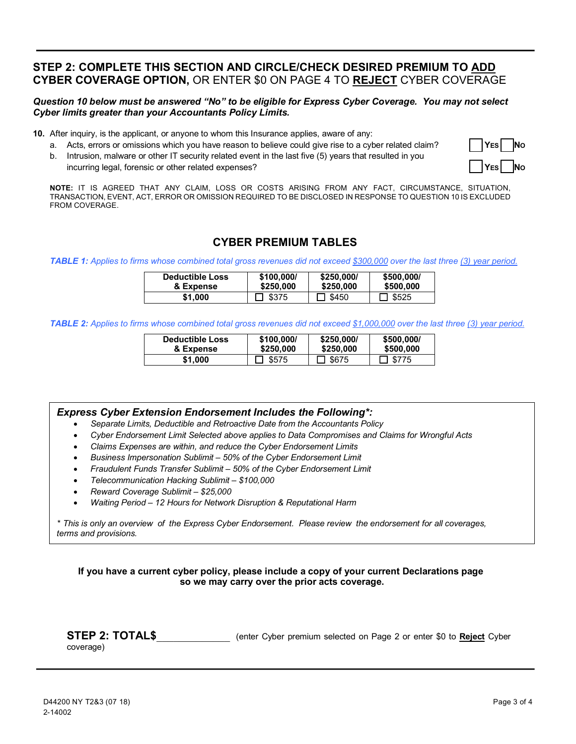# **STEP 2: COMPLETE THIS SECTION AND CIRCLE/CHECK DESIRED PREMIUM TO ADD CYBER COVERAGE OPTION,** OR ENTER \$0 ON PAGE 4 TO **REJECT** CYBER COVERAGE

#### *Question 10 below must be answered "No" to be eligible for Express Cyber Coverage. You may not select Cyber limits greater than your Accountants Policy Limits.*

**10.** After inquiry, is the applicant, or anyone to whom this Insurance applies, aware of any:

- a. Acts, errors or omissions which you have reason to believe could give rise to a cyber related claim? **YES** No
- b. Intrusion, malware or other IT security related event in the last five (5) years that resulted in you incurring legal, forensic or other related expenses?



**NOTE:** IT IS AGREED THAT ANY CLAIM, LOSS OR COSTS ARISING FROM ANY FACT, CIRCUMSTANCE, SITUATION, TRANSACTION, EVENT, ACT, ERROR OR OMISSION REQUIRED TO BE DISCLOSED IN RESPONSE TO QUESTION 10 IS EXCLUDED FROM COVERAGE.

### **CYBER PREMIUM TABLES**

*TABLE 1: Applies to firms whose combined total gross revenues did not exceed \$300,000 over the last three (3) year period.*

| <b>Deductible Loss</b> | \$100,000/ | \$250,000/ | \$500,000/ |
|------------------------|------------|------------|------------|
| & Expense              | \$250,000  | \$250,000  | \$500,000  |
| \$1.000                | \$375      | \$450      | \$525      |

*TABLE 2: Applies to firms whose combined total gross revenues did not exceed \$1,000,000 over the last three (3) year period.* 

| <b>Deductible Loss</b> | \$100,000/ | \$250,000/ | \$500,000/   |
|------------------------|------------|------------|--------------|
| & Expense              | \$250,000  | \$250,000  | \$500,000    |
| \$1.000                | \$575      | \$675      | $\Box$ \$775 |

#### *Express Cyber Extension Endorsement Includes the Following\*:*

- *Separate Limits, Deductible and Retroactive Date from the Accountants Policy*
- *Cyber Endorsement Limit Selected above applies to Data Compromises and Claims for Wrongful Acts*
- *Claims Expenses are within, and reduce the Cyber Endorsement Limits*
- *Business Impersonation Sublimit 50% of the Cyber Endorsement Limit*
- *Fraudulent Funds Transfer Sublimit 50% of the Cyber Endorsement Limit*
- *Telecommunication Hacking Sublimit \$100,000*
- *Reward Coverage Sublimit \$25,000*
- *Waiting Period 12 Hours for Network Disruption & Reputational Harm*

*\* This is only an overview of the Express Cyber Endorsement. Please review the endorsement for all coverages, terms and provisions.*

**If you have a current cyber policy, please include a copy of your current Declarations page so we may carry over the prior acts coverage.**

| <b>STEP 2: TOTAL\$</b> |  | (enter Cyber premium selected on Page 2 or enter \$0 to Reject Cyber |  |  |  |  |
|------------------------|--|----------------------------------------------------------------------|--|--|--|--|
| Cov(0, 0)              |  |                                                                      |  |  |  |  |

coverage)